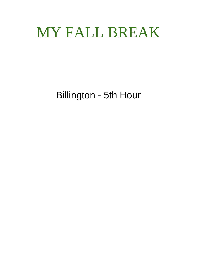## MY FALL BREAK

## Billington - 5th Hour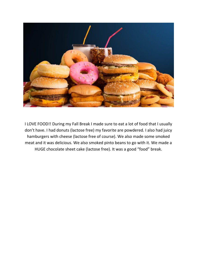

I LOVE FOOD!! During my Fall Break I made sure to eat a lot of food that I usually don't have. I had donuts (lactose free) my favorite are powdered. I also had juicy hamburgers with cheese (lactose free of course). We also made some smoked meat and it was delicious. We also smoked pinto beans to go with it. We made a HUGE chocolate sheet cake (lactose free). It was a good "food" break.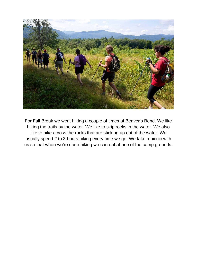

For Fall Break we went hiking a couple of times at Beaver's Bend. We like hiking the trails by the water. We like to skip rocks in the water. We also like to hike across the rocks that are sticking up out of the water. We usually spend 2 to 3 hours hiking every time we go. We take a picnic with us so that when we're done hiking we can eat at one of the camp grounds.